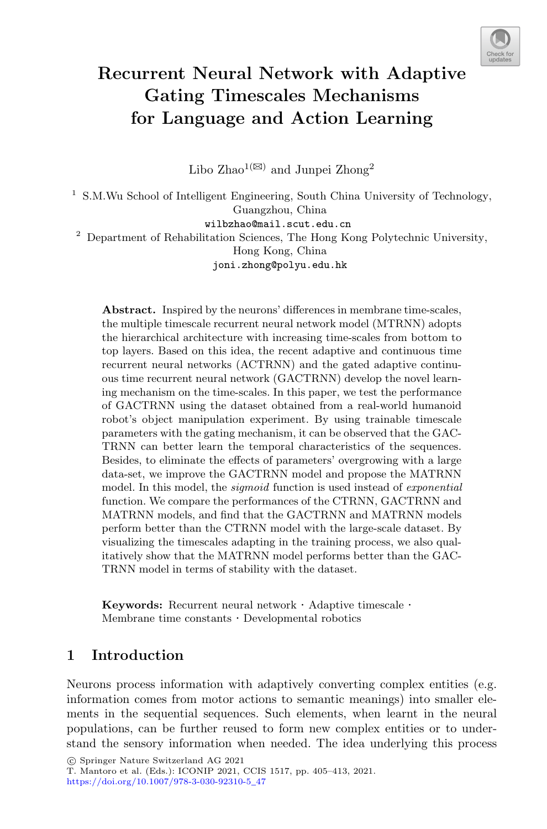

# **Recurrent Neural Network with Adaptive Gating Timescales Mechanisms for Language and Action Learning**

Libo Zhao<sup>1( $\boxtimes$ )</sup> and Junpei Zhong<sup>2</sup>

<sup>1</sup> S.M.Wu School of Intelligent Engineering, South China University of Technology, Guangzhou, China wilbzhao@mail.scut.edu.cn <sup>2</sup> Department of Rehabilitation Sciences, The Hong Kong Polytechnic University, Hong Kong, China joni.zhong@polyu.edu.hk

**Abstract.** Inspired by the neurons' differences in membrane time-scales, the multiple timescale recurrent neural network model (MTRNN) adopts the hierarchical architecture with increasing time-scales from bottom to top layers. Based on this idea, the recent adaptive and continuous time recurrent neural networks (ACTRNN) and the gated adaptive continuous time recurrent neural network (GACTRNN) develop the novel learning mechanism on the time-scales. In this paper, we test the performance of GACTRNN using the dataset obtained from a real-world humanoid robot's object manipulation experiment. By using trainable timescale parameters with the gating mechanism, it can be observed that the GAC-TRNN can better learn the temporal characteristics of the sequences. Besides, to eliminate the effects of parameters' overgrowing with a large data-set, we improve the GACTRNN model and propose the MATRNN model. In this model, the *sigmoid* function is used instead of *exponential* function. We compare the performances of the CTRNN, GACTRNN and MATRNN models, and find that the GACTRNN and MATRNN models perform better than the CTRNN model with the large-scale dataset. By visualizing the timescales adapting in the training process, we also qualitatively show that the MATRNN model performs better than the GAC-TRNN model in terms of stability with the dataset.

**Keywords:** Recurrent neural network · Adaptive timescale · Membrane time constants · Developmental robotics

# **1 Introduction**

Neurons process information with adaptively converting complex entities (e.g. information comes from motor actions to semantic meanings) into smaller elements in the sequential sequences. Such elements, when learnt in the neural populations, can be further reused to form new complex entities or to understand the sensory information when needed. The idea underlying this process

-c Springer Nature Switzerland AG 2021

T. Mantoro et al. (Eds.): ICONIP 2021, CCIS 1517, pp. 405–413, 2021. [https://doi.org/10.1007/978-3-030-92310-5](https://doi.org/10.1007/978-3-030-92310-5_47)\_47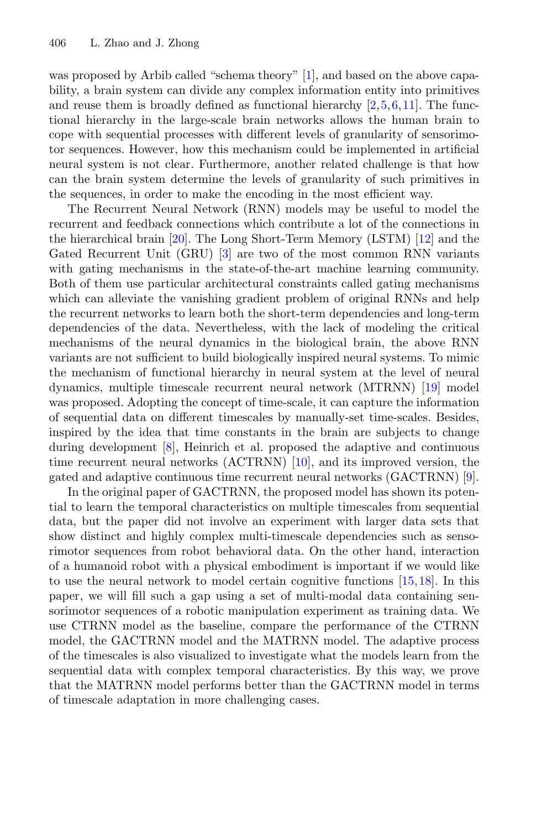was proposed by Arbib called "schema theory" [\[1\]](#page-7-0), and based on the above capability, a brain system can divide any complex information entity into primitives and reuse them is broadly defined as functional hierarchy [\[2](#page-7-1)[,5](#page-7-2),[6,](#page-7-3)[11\]](#page-8-0). The functional hierarchy in the large-scale brain networks allows the human brain to cope with sequential processes with different levels of granularity of sensorimotor sequences. However, how this mechanism could be implemented in artificial neural system is not clear. Furthermore, another related challenge is that how can the brain system determine the levels of granularity of such primitives in the sequences, in order to make the encoding in the most efficient way.

The Recurrent Neural Network (RNN) models may be useful to model the recurrent and feedback connections which contribute a lot of the connections in the hierarchical brain [\[20](#page-8-1)]. The Long Short-Term Memory (LSTM) [\[12](#page-8-2)] and the Gated Recurrent Unit (GRU) [\[3\]](#page-7-4) are two of the most common RNN variants with gating mechanisms in the state-of-the-art machine learning community. Both of them use particular architectural constraints called gating mechanisms which can alleviate the vanishing gradient problem of original RNNs and help the recurrent networks to learn both the short-term dependencies and long-term dependencies of the data. Nevertheless, with the lack of modeling the critical mechanisms of the neural dynamics in the biological brain, the above RNN variants are not sufficient to build biologically inspired neural systems. To mimic the mechanism of functional hierarchy in neural system at the level of neural dynamics, multiple timescale recurrent neural network (MTRNN) [\[19\]](#page-8-3) model was proposed. Adopting the concept of time-scale, it can capture the information of sequential data on different timescales by manually-set time-scales. Besides, inspired by the idea that time constants in the brain are subjects to change during development [\[8](#page-7-5)], Heinrich et al. proposed the adaptive and continuous time recurrent neural networks (ACTRNN) [\[10](#page-8-4)], and its improved version, the gated and adaptive continuous time recurrent neural networks (GACTRNN) [\[9\]](#page-7-6).

In the original paper of GACTRNN, the proposed model has shown its potential to learn the temporal characteristics on multiple timescales from sequential data, but the paper did not involve an experiment with larger data sets that show distinct and highly complex multi-timescale dependencies such as sensorimotor sequences from robot behavioral data. On the other hand, interaction of a humanoid robot with a physical embodiment is important if we would like to use the neural network to model certain cognitive functions [\[15,](#page-8-5)[18\]](#page-8-6). In this paper, we will fill such a gap using a set of multi-modal data containing sensorimotor sequences of a robotic manipulation experiment as training data. We use CTRNN model as the baseline, compare the performance of the CTRNN model, the GACTRNN model and the MATRNN model. The adaptive process of the timescales is also visualized to investigate what the models learn from the sequential data with complex temporal characteristics. By this way, we prove that the MATRNN model performs better than the GACTRNN model in terms of timescale adaptation in more challenging cases.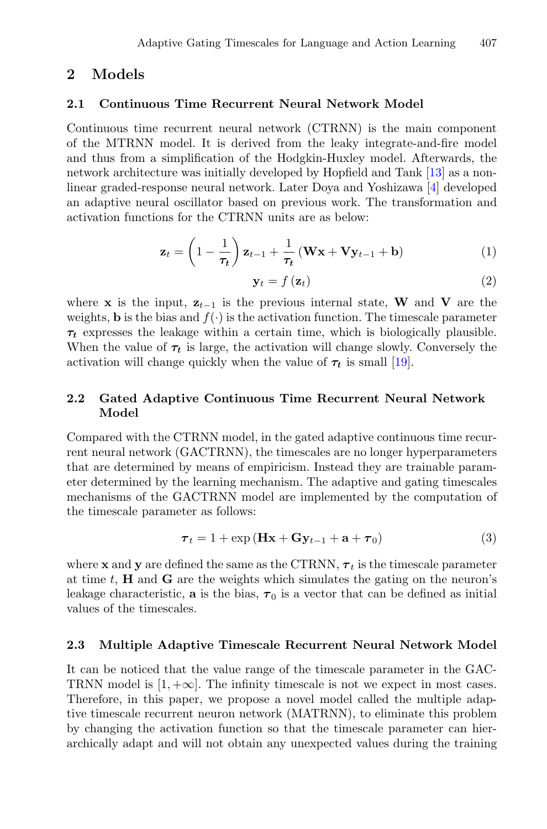### **2 Models**

#### **2.1 Continuous Time Recurrent Neural Network Model**

Continuous time recurrent neural network (CTRNN) is the main component of the MTRNN model. It is derived from the leaky integrate-and-fire model and thus from a simplification of the Hodgkin-Huxley model. Afterwards, the network architecture was initially developed by Hopfield and Tank [\[13](#page-8-7)] as a nonlinear graded-response neural network. Later Doya and Yoshizawa [\[4\]](#page-7-7) developed an adaptive neural oscillator based on previous work. The transformation and activation functions for the CTRNN units are as below:

$$
\mathbf{z}_t = \left(1 - \frac{1}{\tau_t}\right) \mathbf{z}_{t-1} + \frac{1}{\tau_t} \left(\mathbf{W} \mathbf{x} + \mathbf{V} \mathbf{y}_{t-1} + \mathbf{b}\right)
$$
(1)

$$
\mathbf{y}_t = f\left(\mathbf{z}_t\right) \tag{2}
$$

where **x** is the input,  $z_{t-1}$  is the previous internal state, **W** and **V** are the weights, **b** is the bias and  $f(.)$  is the activation function. The timescale parameter *τt* expresses the leakage within a certain time, which is biologically plausible. When the value of  $\tau_t$  is large, the activation will change slowly. Conversely the activation will change quickly when the value of  $\tau_t$  is small [\[19](#page-8-3)].

### **2.2 Gated Adaptive Continuous Time Recurrent Neural Network Model**

Compared with the CTRNN model, in the gated adaptive continuous time recurrent neural network (GACTRNN), the timescales are no longer hyperparameters that are determined by means of empiricism. Instead they are trainable parameter determined by the learning mechanism. The adaptive and gating timescales mechanisms of the GACTRNN model are implemented by the computation of the timescale parameter as follows:

$$
\boldsymbol{\tau}_{t} = 1 + \exp\left(\mathbf{H}\mathbf{x} + \mathbf{G}\mathbf{y}_{t-1} + \mathbf{a} + \boldsymbol{\tau}_{0}\right) \tag{3}
$$

where **x** and **y** are defined the same as the CTRNN,  $\tau_t$  is the timescale parameter at time *t*, **H** and **G** are the weights which simulates the gating on the neuron's leakage characteristic, **a** is the bias,  $\tau_0$  is a vector that can be defined as initial values of the timescales.

### **2.3 Multiple Adaptive Timescale Recurrent Neural Network Model**

It can be noticed that the value range of the timescale parameter in the GAC-TRNN model is  $[1, +\infty]$ . The infinity timescale is not we expect in most cases. Therefore, in this paper, we propose a novel model called the multiple adaptive timescale recurrent neuron network (MATRNN), to eliminate this problem by changing the activation function so that the timescale parameter can hierarchically adapt and will not obtain any unexpected values during the training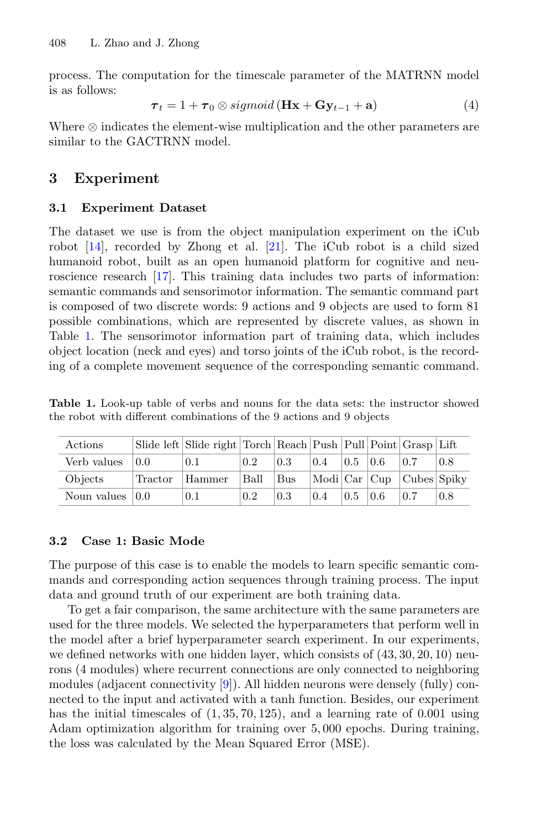process. The computation for the timescale parameter of the MATRNN model is as follows:

$$
\boldsymbol{\tau}_t = 1 + \boldsymbol{\tau}_0 \otimes sigmoid\left(\mathbf{Hx} + \mathbf{Gy}_{t-1} + \mathbf{a}\right) \tag{4}
$$

Where ⊗ indicates the element-wise multiplication and the other parameters are similar to the GACTRNN model.

### **3 Experiment**

### **3.1 Experiment Dataset**

The dataset we use is from the object manipulation experiment on the iCub robot [\[14](#page-8-8)], recorded by Zhong et al. [\[21\]](#page-8-9). The iCub robot is a child sized humanoid robot, built as an open humanoid platform for cognitive and neuroscience research [\[17](#page-8-10)]. This training data includes two parts of information: semantic commands and sensorimotor information. The semantic command part is composed of two discrete words: 9 actions and 9 objects are used to form 81 possible combinations, which are represented by discrete values, as shown in Table [1.](#page-3-0) The sensorimotor information part of training data, which includes object location (neck and eyes) and torso joints of the iCub robot, is the recording of a complete movement sequence of the corresponding semantic command.

<span id="page-3-0"></span>

|                                                                      |  |  |  |  |  | <b>Table 1.</b> Look-up table of verbs and nouns for the data sets: the instructor showed |  |
|----------------------------------------------------------------------|--|--|--|--|--|-------------------------------------------------------------------------------------------|--|
| the robot with different combinations of the 9 actions and 9 objects |  |  |  |  |  |                                                                                           |  |

| Actions             |         | Slide left Slide right Torch Reach Push Pull Point Grasp Lift |      |            |     |               |           |                                      |     |
|---------------------|---------|---------------------------------------------------------------|------|------------|-----|---------------|-----------|--------------------------------------|-----|
| Verb values         | 0.0     | 0.1                                                           | 0.2  | 0.3        | 0.4 | $0.5^{\circ}$ | $\pm 0.6$ | 0.7                                  | 0.8 |
| Objects             | Tractor | Hammer                                                        | Ball | <b>Bus</b> |     |               |           | $ Modi $ Car $ Cup $ Cubes $ Spiky $ |     |
| Noun values $ 0.0 $ |         | 0.1                                                           | 0.2  | 0.3        | 0.4 | 0.5           | 0.6       | 0.7                                  | 0.8 |

### **3.2 Case 1: Basic Mode**

The purpose of this case is to enable the models to learn specific semantic commands and corresponding action sequences through training process. The input data and ground truth of our experiment are both training data.

To get a fair comparison, the same architecture with the same parameters are used for the three models. We selected the hyperparameters that perform well in the model after a brief hyperparameter search experiment. In our experiments, we defined networks with one hidden layer, which consists of (43*,* 30*,* 20*,* 10) neurons (4 modules) where recurrent connections are only connected to neighboring modules (adjacent connectivity [\[9](#page-7-6)]). All hidden neurons were densely (fully) connected to the input and activated with a tanh function. Besides, our experiment has the initial timescales of (1*,* 35*,* 70*,* 125), and a learning rate of 0*.*001 using Adam optimization algorithm for training over 5*,* 000 epochs. During training, the loss was calculated by the Mean Squared Error (MSE).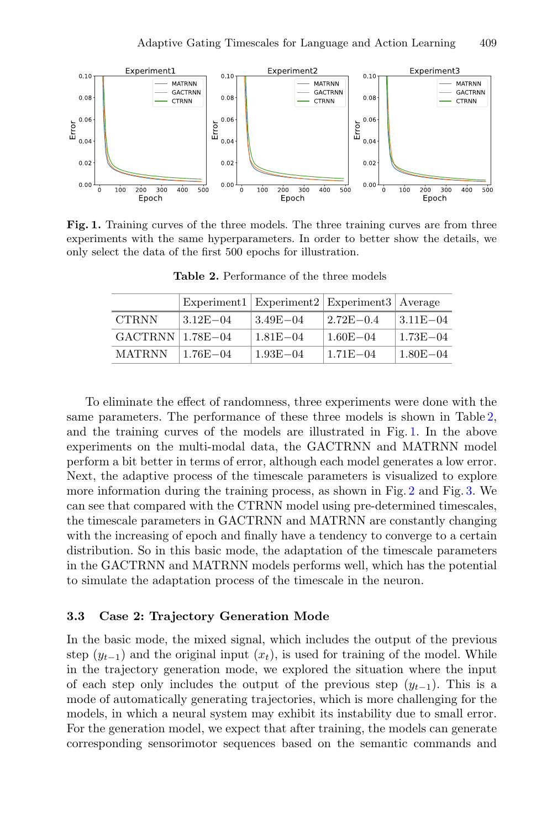

<span id="page-4-1"></span>**Fig. 1.** Training curves of the three models. The three training curves are from three experiments with the same hyperparameters. In order to better show the details, we only select the data of the first 500 epochs for illustration.

|                        |              | Experiment1   Experiment2   Experiment3   Average |               |              |
|------------------------|--------------|---------------------------------------------------|---------------|--------------|
| <b>CTRNN</b>           | $3.12E - 04$ | $3.49E - 04$                                      | $2.72E - 0.4$ | $3.11E - 04$ |
| $GACTRNN$   $1.78E-04$ |              | $1.81E - 04$                                      | $1.60E - 04$  | $1.73E - 04$ |
| <b>MATRNN</b>          | $1.76E - 04$ | $1.93E - 04$                                      | $1.71E - 04$  | $1.80E - 04$ |

<span id="page-4-0"></span>**Table 2.** Performance of the three models

To eliminate the effect of randomness, three experiments were done with the same parameters. The performance of these three models is shown in Table [2,](#page-4-0) and the training curves of the models are illustrated in Fig. [1.](#page-4-1) In the above experiments on the multi-modal data, the GACTRNN and MATRNN model perform a bit better in terms of error, although each model generates a low error. Next, the adaptive process of the timescale parameters is visualized to explore more information during the training process, as shown in Fig. [2](#page-5-0) and Fig. [3.](#page-5-1) We can see that compared with the CTRNN model using pre-determined timescales, the timescale parameters in GACTRNN and MATRNN are constantly changing with the increasing of epoch and finally have a tendency to converge to a certain distribution. So in this basic mode, the adaptation of the timescale parameters in the GACTRNN and MATRNN models performs well, which has the potential to simulate the adaptation process of the timescale in the neuron.

### **3.3 Case 2: Trajectory Generation Mode**

In the basic mode, the mixed signal, which includes the output of the previous step  $(y_{t-1})$  and the original input  $(x_t)$ , is used for training of the model. While in the trajectory generation mode, we explored the situation where the input of each step only includes the output of the previous step  $(y_{t-1})$ . This is a mode of automatically generating trajectories, which is more challenging for the models, in which a neural system may exhibit its instability due to small error. For the generation model, we expect that after training, the models can generate corresponding sensorimotor sequences based on the semantic commands and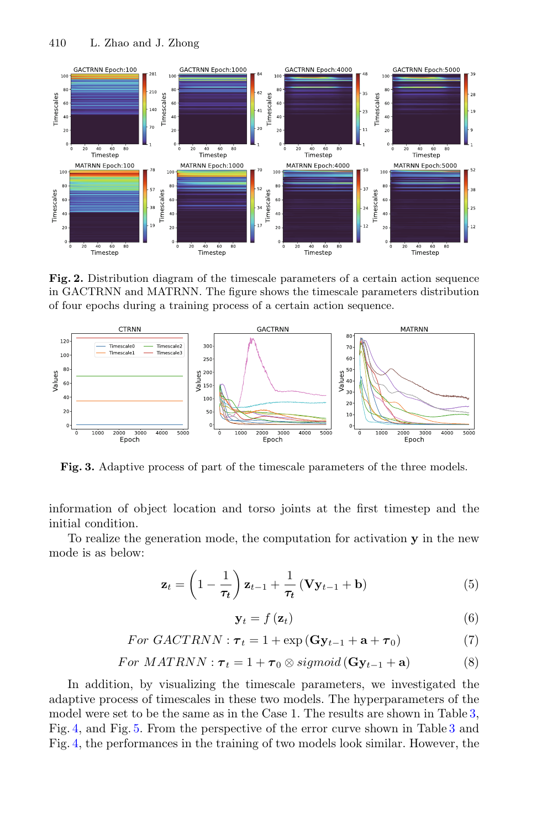

<span id="page-5-0"></span>**Fig. 2.** Distribution diagram of the timescale parameters of a certain action sequence in GACTRNN and MATRNN. The figure shows the timescale parameters distribution of four epochs during a training process of a certain action sequence.



<span id="page-5-1"></span>**Fig. 3.** Adaptive process of part of the timescale parameters of the three models.

information of object location and torso joints at the first timestep and the initial condition.

To realize the generation mode, the computation for activation **y** in the new mode is as below:

$$
\mathbf{z}_{t} = \left(1 - \frac{1}{\tau_{t}}\right) \mathbf{z}_{t-1} + \frac{1}{\tau_{t}} \left(\mathbf{V} \mathbf{y}_{t-1} + \mathbf{b}\right)
$$
(5)

$$
\mathbf{y}_t = f\left(\mathbf{z}_t\right) \tag{6}
$$

$$
For GACTRNN: \tau_t = 1 + \exp(\mathbf{G} \mathbf{y}_{t-1} + \mathbf{a} + \tau_0)
$$
\n<sup>(7)</sup>

$$
For \; MATRNN: \tau_t = 1 + \tau_0 \otimes sigmoid(\mathbf{G}\mathbf{y}_{t-1} + \mathbf{a}) \tag{8}
$$

In addition, by visualizing the timescale parameters, we investigated the adaptive process of timescales in these two models. The hyperparameters of the model were set to be the same as in the Case 1. The results are shown in Table [3,](#page-6-0) Fig. [4,](#page-6-1) and Fig. [5.](#page-6-2) From the perspective of the error curve shown in Table [3](#page-6-0) and Fig. [4,](#page-6-1) the performances in the training of two models look similar. However, the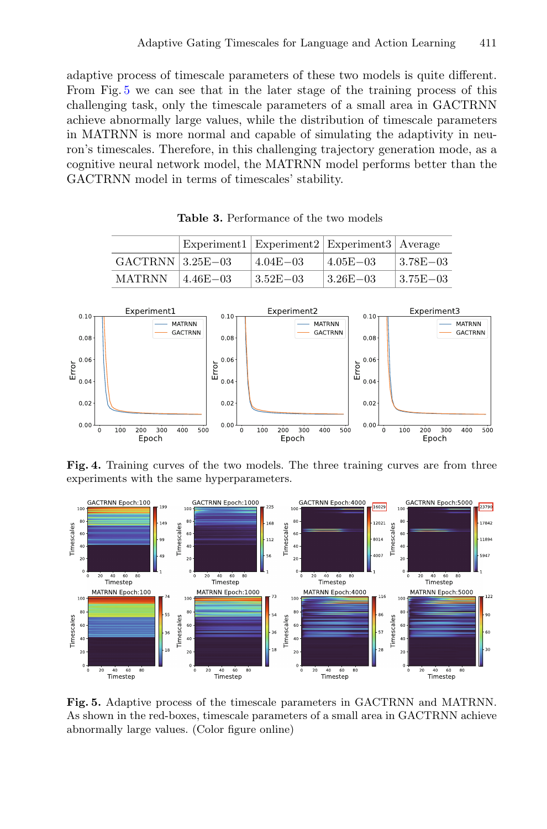adaptive process of timescale parameters of these two models is quite different. From Fig. [5](#page-6-2) we can see that in the later stage of the training process of this challenging task, only the timescale parameters of a small area in GACTRNN achieve abnormally large values, while the distribution of timescale parameters in MATRNN is more normal and capable of simulating the adaptivity in neuron's timescales. Therefore, in this challenging trajectory generation mode, as a cognitive neural network model, the MATRNN model performs better than the GACTRNN model in terms of timescales' stability.

|                    |               | Experiment1   Experiment2   Experiment3   Average |                           |                           |
|--------------------|---------------|---------------------------------------------------|---------------------------|---------------------------|
| $GACTRNN$ 3.25E-03 |               | $4.04E - 03$                                      | $4.05E - 03$              | $13.78E - 03$             |
| <b>MATRNN</b>      | $14.46E - 03$ | $3.52E - 03$                                      | $\pm 3.26\mathrm{E}{-03}$ | $\pm 3.75\mathrm{E}{-03}$ |

<span id="page-6-0"></span>**Table 3.** Performance of the two models



<span id="page-6-1"></span>**Fig. 4.** Training curves of the two models. The three training curves are from three experiments with the same hyperparameters.



<span id="page-6-2"></span>**Fig. 5.** Adaptive process of the timescale parameters in GACTRNN and MATRNN. As shown in the red-boxes, timescale parameters of a small area in GACTRNN achieve abnormally large values. (Color figure online)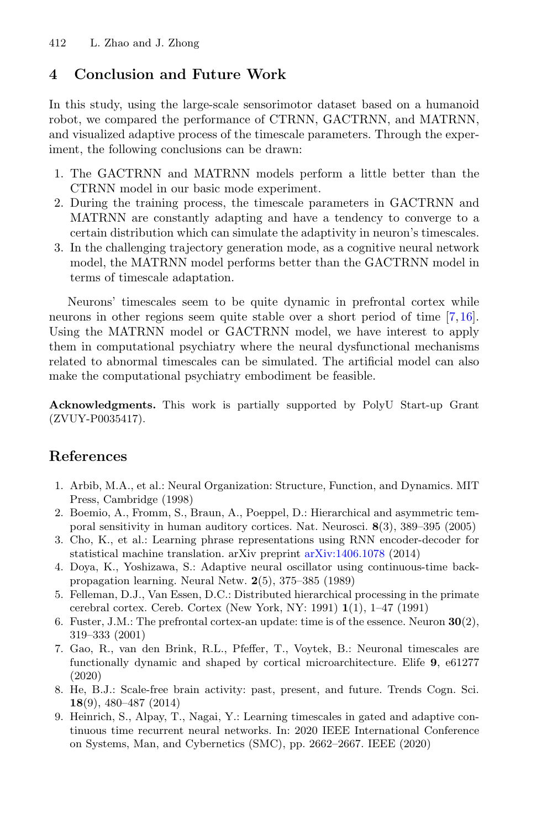# **4 Conclusion and Future Work**

In this study, using the large-scale sensorimotor dataset based on a humanoid robot, we compared the performance of CTRNN, GACTRNN, and MATRNN, and visualized adaptive process of the timescale parameters. Through the experiment, the following conclusions can be drawn:

- 1. The GACTRNN and MATRNN models perform a little better than the CTRNN model in our basic mode experiment.
- 2. During the training process, the timescale parameters in GACTRNN and MATRNN are constantly adapting and have a tendency to converge to a certain distribution which can simulate the adaptivity in neuron's timescales.
- 3. In the challenging trajectory generation mode, as a cognitive neural network model, the MATRNN model performs better than the GACTRNN model in terms of timescale adaptation.

Neurons' timescales seem to be quite dynamic in prefrontal cortex while neurons in other regions seem quite stable over a short period of time [\[7,](#page-7-8)[16\]](#page-8-11). Using the MATRNN model or GACTRNN model, we have interest to apply them in computational psychiatry where the neural dysfunctional mechanisms related to abnormal timescales can be simulated. The artificial model can also make the computational psychiatry embodiment be feasible.

**Acknowledgments.** This work is partially supported by PolyU Start-up Grant (ZVUY-P0035417).

# **References**

- <span id="page-7-0"></span>1. Arbib, M.A., et al.: Neural Organization: Structure, Function, and Dynamics. MIT Press, Cambridge (1998)
- <span id="page-7-1"></span>2. Boemio, A., Fromm, S., Braun, A., Poeppel, D.: Hierarchical and asymmetric temporal sensitivity in human auditory cortices. Nat. Neurosci. **8**(3), 389–395 (2005)
- <span id="page-7-4"></span>3. Cho, K., et al.: Learning phrase representations using RNN encoder-decoder for statistical machine translation. arXiv preprint [arXiv:1406.1078](http://arxiv.org/abs/1406.1078) (2014)
- <span id="page-7-7"></span>4. Doya, K., Yoshizawa, S.: Adaptive neural oscillator using continuous-time backpropagation learning. Neural Netw. **2**(5), 375–385 (1989)
- <span id="page-7-2"></span>5. Felleman, D.J., Van Essen, D.C.: Distributed hierarchical processing in the primate cerebral cortex. Cereb. Cortex (New York, NY: 1991) **1**(1), 1–47 (1991)
- <span id="page-7-3"></span>6. Fuster, J.M.: The prefrontal cortex-an update: time is of the essence. Neuron **30**(2), 319–333 (2001)
- <span id="page-7-8"></span>7. Gao, R., van den Brink, R.L., Pfeffer, T., Voytek, B.: Neuronal timescales are functionally dynamic and shaped by cortical microarchitecture. Elife **9**, e61277 (2020)
- <span id="page-7-5"></span>8. He, B.J.: Scale-free brain activity: past, present, and future. Trends Cogn. Sci. **18**(9), 480–487 (2014)
- <span id="page-7-6"></span>9. Heinrich, S., Alpay, T., Nagai, Y.: Learning timescales in gated and adaptive continuous time recurrent neural networks. In: 2020 IEEE International Conference on Systems, Man, and Cybernetics (SMC), pp. 2662–2667. IEEE (2020)